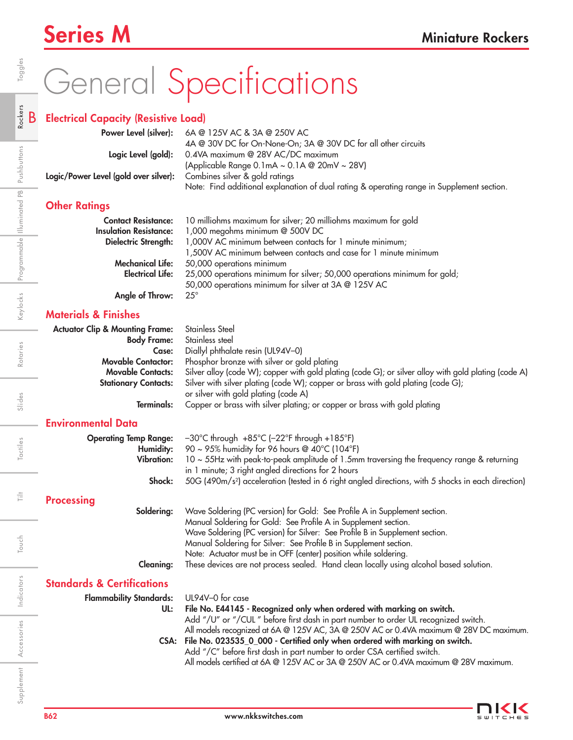## Series M<br>
Miniature Rockers

# General Specifications

### B Electrical Capacity (Resistive Load)

|                                                                      | <b>Power Level (silver):</b> 6A @ 125V AC & 3A @ 250V AC                                  |
|----------------------------------------------------------------------|-------------------------------------------------------------------------------------------|
|                                                                      | 4A @ 30V DC for On-None-On; 3A @ 30V DC for all other circuits                            |
|                                                                      | Logic Level (gold): 0.4VA maximum @ 28V AC/DC maximum                                     |
|                                                                      | (Applicable Range 0.1mA ~ 0.1A @ 20mV ~ 28V)                                              |
| Logic/Power Level (gold over silver): Combines silver & gold ratings |                                                                                           |
|                                                                      | Note: Find additional explanation of dual rating & operating range in Supplement section. |
| Advised Dudley and                                                   |                                                                                           |

## Other Ratings

|                               | <b>Contact Resistance:</b> 10 milliohms maximum for silver; 20 milliohms maximum for gold |
|-------------------------------|-------------------------------------------------------------------------------------------|
| <b>Insulation Resistance:</b> | 1,000 megohms minimum @ 500V DC                                                           |
| <b>Dielectric Strength:</b>   | 1,000V AC minimum between contacts for 1 minute minimum;                                  |
|                               | 1,500V AC minimum between contacts and case for 1 minute minimum                          |
| Mechanical Life:              | 50,000 operations minimum                                                                 |
| <b>Electrical Life:</b>       | 25,000 operations minimum for silver; 50,000 operations minimum for gold;                 |
|                               | 50,000 operations minimum for silver at 3A @ 125V AC                                      |
|                               |                                                                                           |

Angle of Throw: 25°

## Materials & Finishes

| <b>Actuator Clip &amp; Mounting Frame:</b><br><b>Body Frame:</b> | Stainless Steel<br>Stainless steel                                                                   |
|------------------------------------------------------------------|------------------------------------------------------------------------------------------------------|
| Case:                                                            | Diallyl phthalate resin (UL94V-0)                                                                    |
| <b>Movable Contactor:</b>                                        | Phosphor bronze with silver or gold plating                                                          |
| <b>Movable Contacts:</b>                                         | Silver alloy (code W); copper with gold plating (code G); or silver alloy with gold plating (code A) |
| <b>Stationary Contacts:</b>                                      | Silver with silver plating (code W); copper or brass with gold plating (code G);                     |
|                                                                  | or silver with gold plating (code A)                                                                 |
| Terminals:                                                       | Copper or brass with silver plating; or copper or brass with gold plating                            |

## Environmental Data

| <b>Operating Temp Range:</b><br>Humidity:<br><b>Vibration:</b><br>Shock: | $-30^{\circ}$ C through $+85^{\circ}$ C ( $-22^{\circ}$ F through $+185^{\circ}$ F)<br>90 ~ 95% humidity for 96 hours @ 40°C (104°F)<br>10 ~ 55Hz with peak-to-peak amplitude of 1.5mm traversing the frequency range & returning<br>in 1 minute; 3 right angled directions for 2 hours<br>50G (490m/s <sup>2</sup> ) acceleration (tested in 6 right angled directions, with 5 shocks in each direction) |  |  |  |  |  |
|--------------------------------------------------------------------------|-----------------------------------------------------------------------------------------------------------------------------------------------------------------------------------------------------------------------------------------------------------------------------------------------------------------------------------------------------------------------------------------------------------|--|--|--|--|--|
| <b>Processing</b>                                                        |                                                                                                                                                                                                                                                                                                                                                                                                           |  |  |  |  |  |
| Soldering:                                                               | Wave Soldering (PC version) for Gold: See Profile A in Supplement section.<br>Manual Soldering for Gold: See Profile A in Supplement section.<br>Wave Soldering (PC version) for Silver: See Profile B in Supplement section.<br>Manual Soldering for Silver: See Profile B in Supplement section.<br>Note: Actuator must be in OFF (center) position while soldering.                                    |  |  |  |  |  |
| <b>Cleaning:</b>                                                         | These devices are not process sealed. Hand clean locally using alcohol based solution.                                                                                                                                                                                                                                                                                                                    |  |  |  |  |  |
| <b>Standards &amp; Certifications</b>                                    |                                                                                                                                                                                                                                                                                                                                                                                                           |  |  |  |  |  |
| <b>Flammability Standards:</b><br>UL:                                    | UL94V–0 for case<br>File No. E44145 - Recognized only when ordered with marking on switch.<br>Add "/U" or "/CUL" before first dash in part number to order UL recognized switch.                                                                                                                                                                                                                          |  |  |  |  |  |

CSA: File No. 023535\_0\_000 - Certified only when ordered with marking on switch. Add "/C" before first dash in part number to order CSA certified switch.

All models certified at 6A @ 125V AC or 3A @ 250V AC or 0.4VA maximum @ 28V maximum.



Indicators

Supplement Accessories Indicators Touch I Tilt Tactiles I Slides Rotaries I Keylocks Programmable「Illuminated PB Pushbuttons

Tactiles

Ë

Touch

Slides

Touch | Tilt | Tactiles | Slides | Rotaries | Keylocks |Programmable ||lluminated PB| Pushbuttons | **Rockers** | Toggles

Rotaries

Keylocks Programmable Illuminated PB Pushbuttons

Rockers

Toggles

Accessories

Supplement Accessories Indicators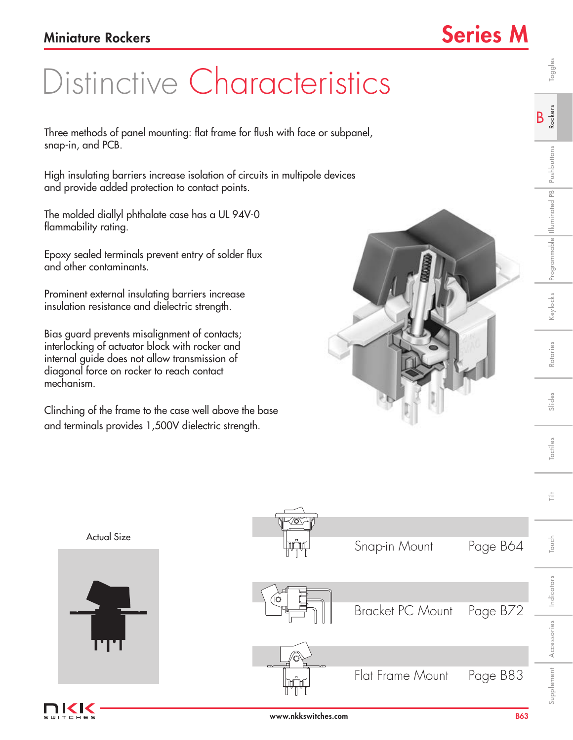# Distinctive Characteristics

Three methods of panel mounting: flat frame for flush with face or subpanel, snap-in, and PCB.

High insulating barriers increase isolation of circuits in multipole devices and provide added protection to contact points.

The molded diallyl phthalate case has a UL 94V-0 flammability rating.

Epoxy sealed terminals prevent entry of solder flux and other contaminants.

Prominent external insulating barriers increase insulation resistance and dielectric strength.

Bias guard prevents misalignment of contacts; interlocking of actuator block with rocker and internal guide does not allow transmission of diagonal force on rocker to reach contact mechanism.

Clinching of the frame to the case well above the base and terminals provides 1,500V dielectric strength.







Indicators

Indicators

Touch Tilt

Touch

言

Supplement Accessories Indicators Touch I Touth Indicatives Publics Rotaries Reviocks Programmable Illuminated Pushbuttons R**ockers** Toggles

Slides

Tactiles

Rotaries

<eylocks Programmable Illuminated PB Pushbuttons

B Rockers

Toggles

Accessories

Supplement Accessories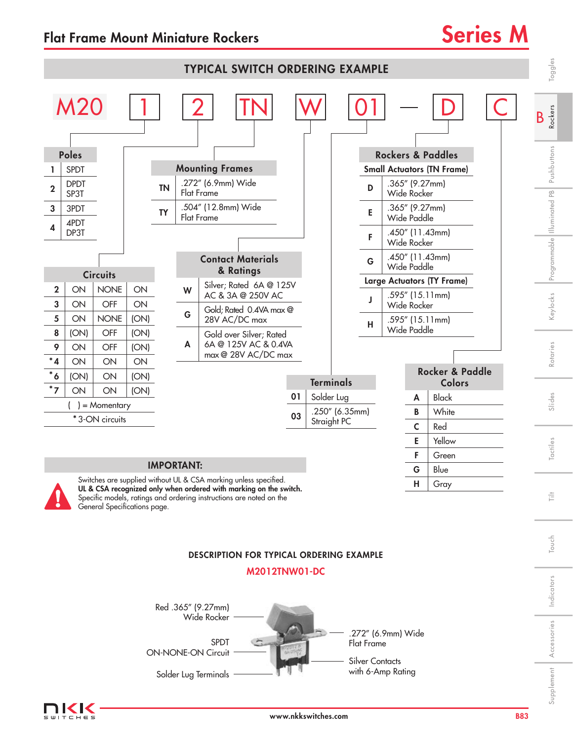



UL & CSA recognized only when ordered with marking on the switch. Specific models, ratings and ordering instructions are noted on the General Specifications page.

## DESCRIPTION FOR TYPICAL ORDERING EXAMPLE

## M2012TNW01-DC





Indicators

Indicators

Touch Tilt

Touch

言

 $H$  Gray

Accessories

Accessories

Supplement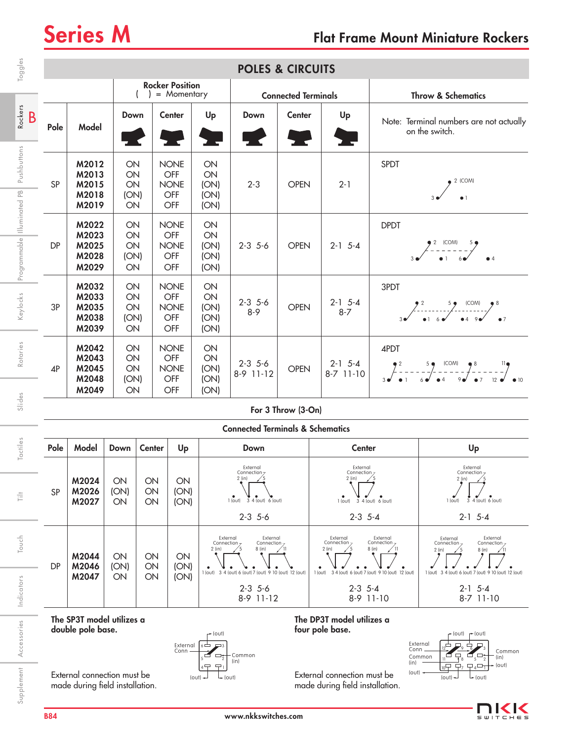| Toggles                     | <b>POLES &amp; CIRCUITS</b>                                                                                                                                                                |                                           |                              |                |                                                 |                                                            |                                                                                                                                                                    |                    |                                                                                 |                                                                                      |                                                                                                                                                                 |  |
|-----------------------------|--------------------------------------------------------------------------------------------------------------------------------------------------------------------------------------------|-------------------------------------------|------------------------------|----------------|-------------------------------------------------|------------------------------------------------------------|--------------------------------------------------------------------------------------------------------------------------------------------------------------------|--------------------|---------------------------------------------------------------------------------|--------------------------------------------------------------------------------------|-----------------------------------------------------------------------------------------------------------------------------------------------------------------|--|
|                             | <b>Rocker Position</b><br>= Momentary<br>$\overline{ }$                                                                                                                                    |                                           |                              |                |                                                 | <b>Connected Terminals</b>                                 |                                                                                                                                                                    |                    |                                                                                 | <b>Throw &amp; Schematics</b>                                                        |                                                                                                                                                                 |  |
| Rockers<br>B                | Pole                                                                                                                                                                                       | Model                                     | Down                         |                | <b>Center</b>                                   | Up<br>$\overline{\phantom{a}}$                             | Down                                                                                                                                                               | <b>Center</b>      | Up                                                                              |                                                                                      | Note: Terminal numbers are not actually<br>on the switch.                                                                                                       |  |
| Pushbuttons                 | SP                                                                                                                                                                                         | M2012<br>M2013<br>M2015<br>M2018<br>M2019 | ON<br>ON<br>ON<br>(ON)<br>ON |                | <b>NONE</b><br>OFF<br><b>NONE</b><br>OFF<br>OFF | ON<br>ON<br>(ON)<br>(ON)<br>(ON)                           | $2 - 3$                                                                                                                                                            | <b>OPEN</b>        | $2 - 1$                                                                         | SPDT<br>$\bullet$ 2 (COM)                                                            |                                                                                                                                                                 |  |
| Programmable Illuminated PB | <b>DP</b>                                                                                                                                                                                  | M2022<br>M2023<br>M2025<br>M2028<br>M2029 | ON<br>ON<br>ON<br>(ON)<br>ON |                | <b>NONE</b><br>OFF<br><b>NONE</b><br>OFF<br>OFF | ON<br>ON<br>(ON)<br>(ON)<br>(ON)                           | $2 - 3$ 5 - 6                                                                                                                                                      | <b>OPEN</b>        | $2 - 1$ 5-4                                                                     | <b>DPDT</b>                                                                          | $2^2$ (COM) 5                                                                                                                                                   |  |
| Keylocks                    | 3P                                                                                                                                                                                         | M2032<br>M2033<br>M2035<br>M2038<br>M2039 | ON<br>ON<br>ON<br>(ON)<br>ON |                | <b>NONE</b><br>OFF<br><b>NONE</b><br>OFF<br>OFF | ON<br>ON<br>(ON)<br>(ON)<br>(ON)                           | $2-3$ 5-6<br>$8 - 9$                                                                                                                                               | <b>OPEN</b>        | $2-1$ 5-4<br>$8 - 7$                                                            | 3PDT<br>$\begin{array}{ccc} & 2 & 5 & 100M & 8 \\ & & 3 & 6 & 6 & 9 & 9 \end{array}$ |                                                                                                                                                                 |  |
| Rotaries                    | 4P                                                                                                                                                                                         | M2042<br>M2043<br>M2045<br>M2048<br>M2049 | ON<br>ON<br>ON<br>(ON)<br>ON |                | <b>NONE</b><br>OFF<br><b>NONE</b><br>OFF<br>OFF | ON<br>ON<br>(ON)<br>(ON)<br>(ON)                           | $2-3$ 5-6<br>8-9 11-12                                                                                                                                             | <b>OPEN</b>        | $2-1$ 5-4<br>8-7 11-10                                                          | 4PDT                                                                                 |                                                                                                                                                                 |  |
| Slides                      |                                                                                                                                                                                            |                                           |                              |                |                                                 |                                                            |                                                                                                                                                                    | For 3 Throw (3-On) |                                                                                 |                                                                                      |                                                                                                                                                                 |  |
|                             |                                                                                                                                                                                            |                                           |                              |                |                                                 |                                                            | <b>Connected Terminals &amp; Schematics</b>                                                                                                                        |                    |                                                                                 |                                                                                      |                                                                                                                                                                 |  |
| Tactiles                    | Pole                                                                                                                                                                                       | Model                                     | Down                         | <b>Center</b>  | Up                                              |                                                            | Down                                                                                                                                                               |                    | <b>Center</b>                                                                   |                                                                                      | Up                                                                                                                                                              |  |
| $\frac{1}{11}$              | SP                                                                                                                                                                                         | M2024<br>M2026<br>M2027                   | ON<br>(ON)<br>ON             | ON<br>ON<br>ON | ON<br>(ON)<br>(ON)                              |                                                            | External<br>Connection <sub>7</sub><br>2 (in)<br>$3 - 4$ (out) 6 (out)<br>1 (out)<br>$2-3$ 5-6                                                                     |                    | External<br>Connection <sub>7</sub><br>2 (in)<br>1 (out)<br>$2-3$ 5-4           | $34$ (out) $6$ (out)                                                                 | External<br>Connection <sub>7</sub><br>$2$ (in)<br>$4$ (out) $6$ (out)<br>1 (out)<br>3<br>$2-1$ 5-4                                                             |  |
| Touch                       | DP                                                                                                                                                                                         | M2044<br>M2046                            | ON<br>(ON)                   | ON<br>ON       | ON<br>(ON)                                      | External<br>Connection <sub>7</sub><br>$2$ (in)<br>1 (out) | External<br>Connection <sub>7</sub><br>8 (in)<br>3 4 (out) 6 (out) 7 (out) 9 10 (out) 12 (out)                                                                     |                    | External<br>Connection <sub>7</sub><br>$2$ (in)<br>1 (out)<br>3 4 (out) 6 (out) | External<br>Connection $7$<br>8 (in)<br>7 (out) 9 10 (out) 12 (out)                  | External<br>External<br>Connection <sub>7</sub><br>Connection <sub>7</sub><br>$2$ (in)<br>8 (in)<br>1 (out)<br>3 4 (out) 6 (out)<br>7 (out) 9 10 (out) 12 (out) |  |
| Indicators                  |                                                                                                                                                                                            | M2047                                     | ON                           | ON             | (ON)                                            |                                                            | $2-3$ 5-6<br>8-9 11-12                                                                                                                                             |                    | $2-3$ 5-4<br>8-9 11-10                                                          |                                                                                      | $2-1$ 5-4<br>8-7 11-10                                                                                                                                          |  |
| Accessories                 | The SP3T model utilizes a<br>double pole base.<br>External<br>Conn                                                                                                                         |                                           |                              |                |                                                 | $+$ (out)<br>$6 -$                                         | The DP3T model utilizes a<br>four pole base.<br>r (out) r (out)<br>External<br>Conn<br>Common<br>$\overline{P}_8$<br>Common<br>Ţ<br>Common<br>(in)<br>(in)<br>(in) |                    |                                                                                 |                                                                                      |                                                                                                                                                                 |  |
| Supplement                  | $\overline{P}$<br>(out)<br>External connection must be<br>External connection must be<br>$\div$ (out)<br>$($ out $)$<br>made during field installation.<br>made during field installation. |                                           |                              |                |                                                 |                                                            |                                                                                                                                                                    |                    | $($ out $)$<br>$\Box$ <sub>4</sub> $\Box$<br>10무 무ァ<br>(out)<br>$($ out $)$     |                                                                                      |                                                                                                                                                                 |  |

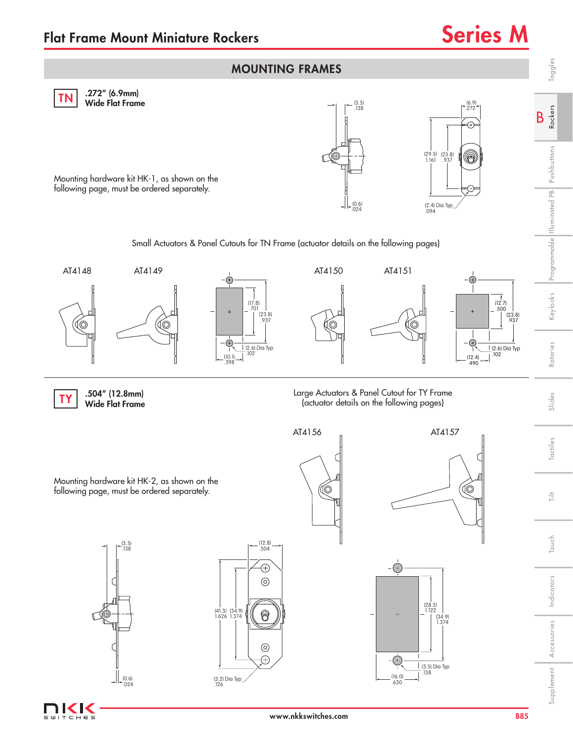

www.nkkswitches.com

**IKK** T C H E S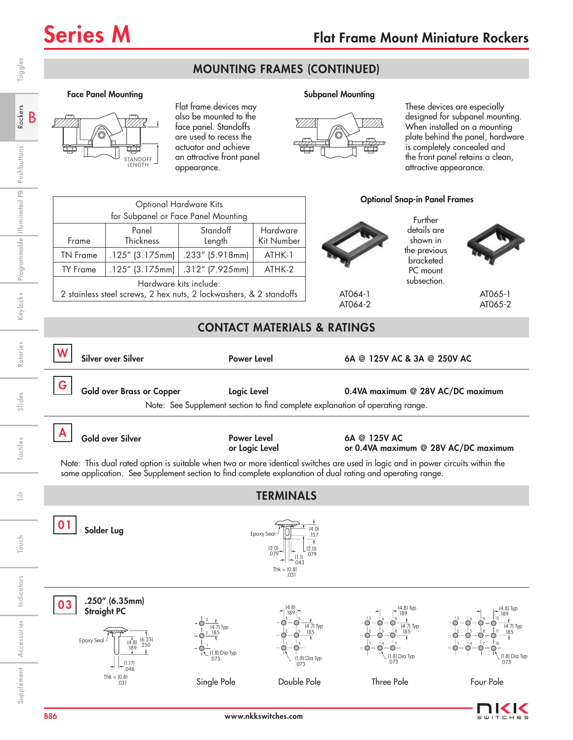## MOUNTING FRAMES (CONTINUED)

### Face Panel Mounting The Subpanel Mounting Subpanel Mounting



Flat frame devices may also be mounted to the face panel. Standoffs are used to recess the actuator and achieve an attractive front panel appearance.



These devices are especially designed for subpanel mounting. When installed on a mounting plate behind the panel, hardware is completely concealed and the front panel retains a clean, attractive appearance.





B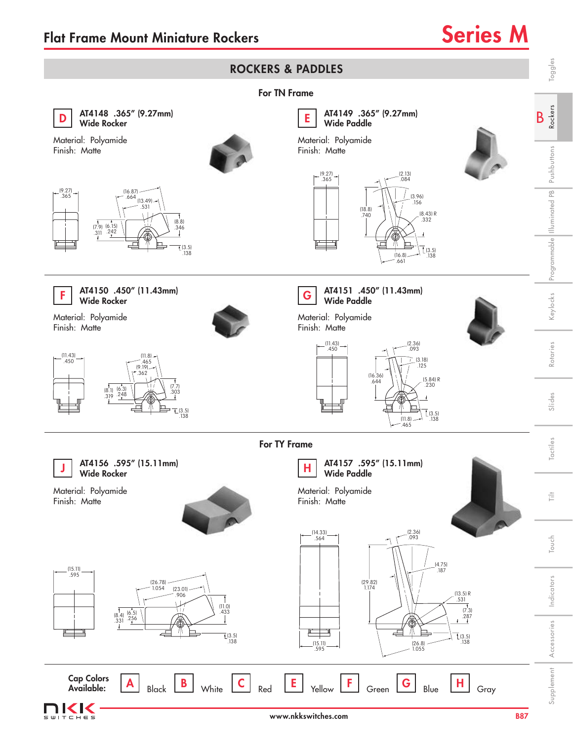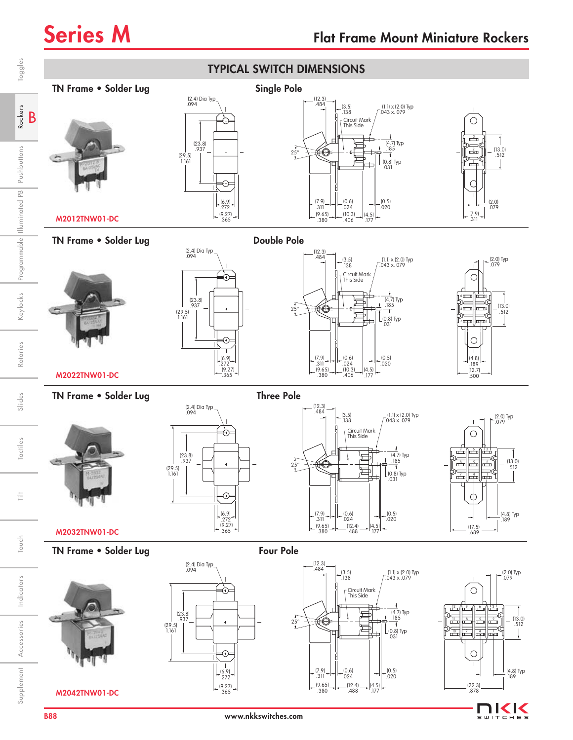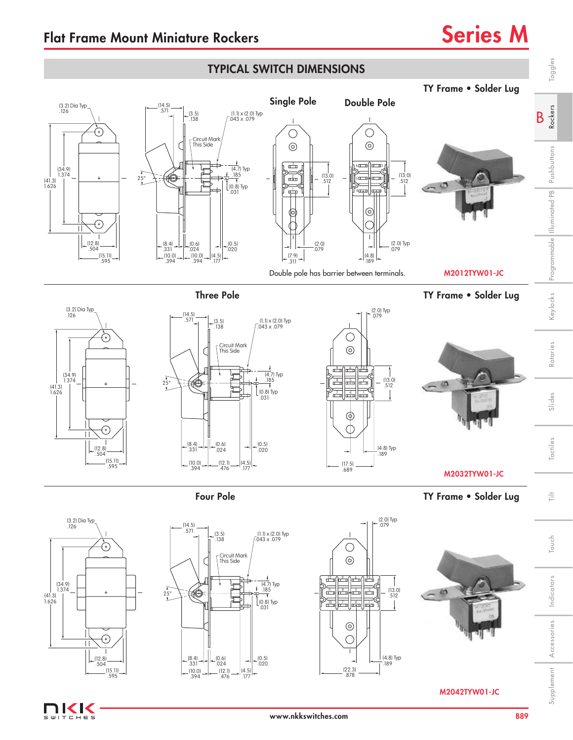